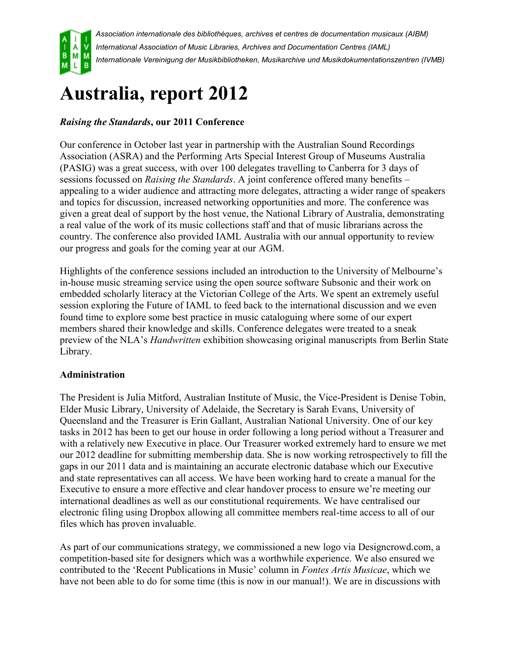

# **Australia, report 2012**

# *Raising the Standards***, our 2011 Conference**

Our conference in October last year in partnership with the Australian Sound Recordings Association (ASRA) and the Performing Arts Special Interest Group of Museums Australia (PASIG) was a great success, with over 100 delegates travelling to Canberra for 3 days of sessions focussed on *Raising the Standards*. A joint conference offered many benefits – appealing to a wider audience and attracting more delegates, attracting a wider range of speakers and topics for discussion, increased networking opportunities and more. The conference was given a great deal of support by the host venue, the National Library of Australia, demonstrating a real value of the work of its music collections staff and that of music librarians across the country. The conference also provided IAML Australia with our annual opportunity to review our progress and goals for the coming year at our AGM.

Highlights of the conference sessions included an introduction to the University of Melbourne's in-house music streaming service using the open source software Subsonic and their work on embedded scholarly literacy at the Victorian College of the Arts. We spent an extremely useful session exploring the Future of IAML to feed back to the international discussion and we even found time to explore some best practice in music cataloguing where some of our expert members shared their knowledge and skills. Conference delegates were treated to a sneak preview of the NLA's *Handwritten* exhibition showcasing original manuscripts from Berlin State Library.

## **Administration**

The President is Julia Mitford, Australian Institute of Music, the Vice-President is Denise Tobin, Elder Music Library, University of Adelaide, the Secretary is Sarah Evans, University of Queensland and the Treasurer is Erin Gallant, Australian National University. One of our key tasks in 2012 has been to get our house in order following a long period without a Treasurer and with a relatively new Executive in place. Our Treasurer worked extremely hard to ensure we met our 2012 deadline for submitting membership data. She is now working retrospectively to fill the gaps in our 2011 data and is maintaining an accurate electronic database which our Executive and state representatives can all access. We have been working hard to create a manual for the Executive to ensure a more effective and clear handover process to ensure we're meeting our international deadlines as well as our constitutional requirements. We have centralised our electronic filing using Dropbox allowing all committee members real-time access to all of our files which has proven invaluable.

As part of our communications strategy, we commissioned a new logo via Designcrowd.com, a competition-based site for designers which was a worthwhile experience. We also ensured we contributed to the 'Recent Publications in Music' column in *Fontes Artis Musicae*, which we have not been able to do for some time (this is now in our manual!). We are in discussions with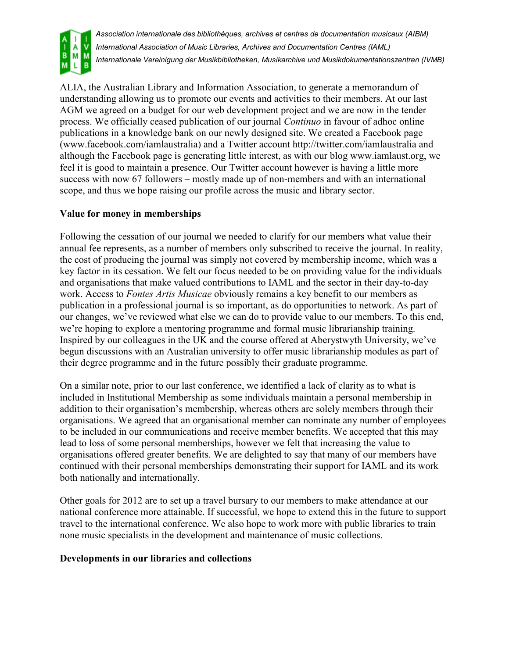

ALIA, the Australian Library and Information Association, to generate a memorandum of understanding allowing us to promote our events and activities to their members. At our last AGM we agreed on a budget for our web development project and we are now in the tender process. We officially ceased publication of our journal *Continuo* in favour of adhoc online publications in a knowledge bank on our newly designed site. We created a Facebook page (www.facebook.com/iamlaustralia) and a Twitter account http://twitter.com/iamlaustralia and although the Facebook page is generating little interest, as with our blog www.iamlaust.org, we feel it is good to maintain a presence. Our Twitter account however is having a little more success with now 67 followers – mostly made up of non-members and with an international scope, and thus we hope raising our profile across the music and library sector.

#### **Value for money in memberships**

Following the cessation of our journal we needed to clarify for our members what value their annual fee represents, as a number of members only subscribed to receive the journal. In reality, the cost of producing the journal was simply not covered by membership income, which was a key factor in its cessation. We felt our focus needed to be on providing value for the individuals and organisations that make valued contributions to IAML and the sector in their day-to-day work. Access to *Fontes Artis Musicae* obviously remains a key benefit to our members as publication in a professional journal is so important, as do opportunities to network. As part of our changes, we've reviewed what else we can do to provide value to our members. To this end, we're hoping to explore a mentoring programme and formal music librarianship training. Inspired by our colleagues in the UK and the course offered at Aberystwyth University, we've begun discussions with an Australian university to offer music librarianship modules as part of their degree programme and in the future possibly their graduate programme.

On a similar note, prior to our last conference, we identified a lack of clarity as to what is included in Institutional Membership as some individuals maintain a personal membership in addition to their organisation's membership, whereas others are solely members through their organisations. We agreed that an organisational member can nominate any number of employees to be included in our communications and receive member benefits. We accepted that this may lead to loss of some personal memberships, however we felt that increasing the value to organisations offered greater benefits. We are delighted to say that many of our members have continued with their personal memberships demonstrating their support for IAML and its work both nationally and internationally.

Other goals for 2012 are to set up a travel bursary to our members to make attendance at our national conference more attainable. If successful, we hope to extend this in the future to support travel to the international conference. We also hope to work more with public libraries to train none music specialists in the development and maintenance of music collections.

#### **Developments in our libraries and collections**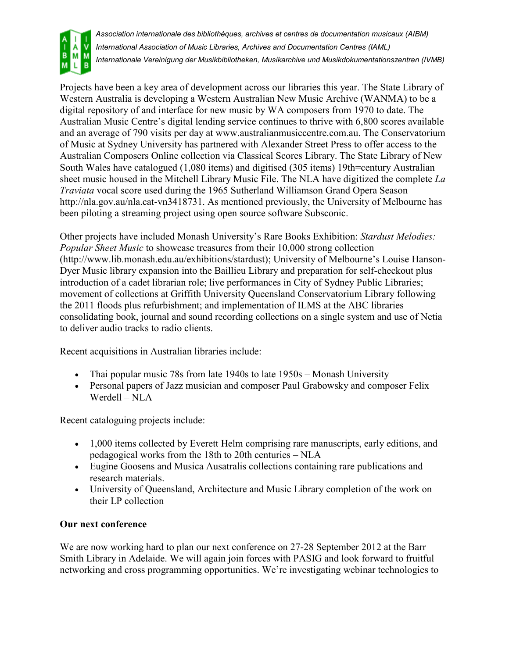

Projects have been a key area of development across our libraries this year. The State Library of Western Australia is developing a Western Australian New Music Archive (WANMA) to be a digital repository of and interface for new music by WA composers from 1970 to date. The Australian Music Centre's digital lending service continues to thrive with 6,800 scores available and an average of 790 visits per day at www.australianmusiccentre.com.au. The Conservatorium of Music at Sydney University has partnered with Alexander Street Press to offer access to the Australian Composers Online collection via Classical Scores Library. The State Library of New South Wales have catalogued (1,080 items) and digitised (305 items) 19th=century Australian sheet music housed in the Mitchell Library Music File. The NLA have digitized the complete *La Traviata* vocal score used during the 1965 Sutherland Williamson Grand Opera Season http://nla.gov.au/nla.cat-vn3418731. As mentioned previously, the University of Melbourne has been piloting a streaming project using open source software Subsconic.

Other projects have included Monash University's Rare Books Exhibition: *Stardust Melodies: Popular Sheet Music* to showcase treasures from their 10,000 strong collection (http://www.lib.monash.edu.au/exhibitions/stardust); University of Melbourne's Louise Hanson-Dyer Music library expansion into the Baillieu Library and preparation for self-checkout plus introduction of a cadet librarian role; live performances in City of Sydney Public Libraries; movement of collections at Griffith University Queensland Conservatorium Library following the 2011 floods plus refurbishment; and implementation of ILMS at the ABC libraries consolidating book, journal and sound recording collections on a single system and use of Netia to deliver audio tracks to radio clients.

Recent acquisitions in Australian libraries include:

- Thai popular music 78s from late 1940s to late 1950s Monash University
- Personal papers of Jazz musician and composer Paul Grabowsky and composer Felix Werdell – NLA

Recent cataloguing projects include:

- 1,000 items collected by Everett Helm comprising rare manuscripts, early editions, and pedagogical works from the 18th to 20th centuries – NLA
- Eugine Goosens and Musica Ausatralis collections containing rare publications and research materials.
- University of Queensland, Architecture and Music Library completion of the work on their LP collection

## **Our next conference**

We are now working hard to plan our next conference on 27-28 September 2012 at the Barr Smith Library in Adelaide. We will again join forces with PASIG and look forward to fruitful networking and cross programming opportunities. We're investigating webinar technologies to